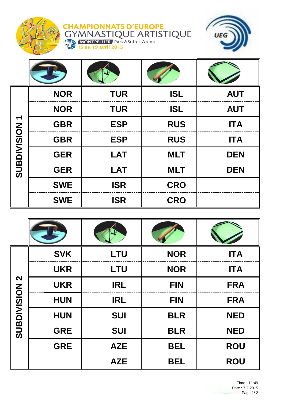

**CHAMPIONNATS D'EUROPE<br>GYMNASTIQUE ARTISTIQUE<br>
MONTPELLIER Park&Suites Arena**<br>
15 au 19 avril 2015



| SUBDIVISION 1 | <b>NOR</b> | <b>TUR</b> | <b>ISL</b> | <b>AUT</b> |
|---------------|------------|------------|------------|------------|
|               | <b>NOR</b> | <b>TUR</b> | <b>ISL</b> | <b>AUT</b> |
|               | <b>GBR</b> | <b>ESP</b> | <b>RUS</b> | <b>ITA</b> |
|               | <b>GBR</b> | <b>ESP</b> | <b>RUS</b> | <b>ITA</b> |
|               | <b>GER</b> | <b>LAT</b> | <b>MLT</b> | <b>DEN</b> |
|               | <b>GER</b> | <b>LAT</b> | <b>MLT</b> | <b>DEN</b> |
|               | <b>SWE</b> | <b>ISR</b> | <b>CRO</b> |            |
|               | <b>SWE</b> | <b>ISR</b> | <b>CRO</b> |            |

| $\boldsymbol{\mathsf{N}}$<br>SUBDIVISION | <b>SVK</b> | <b>LTU</b> | <b>NOR</b> | <b>ITA</b> |
|------------------------------------------|------------|------------|------------|------------|
|                                          | <b>UKR</b> | <b>LTU</b> | <b>NOR</b> | <b>ITA</b> |
|                                          | <b>UKR</b> | <b>IRL</b> | <b>FIN</b> | <b>FRA</b> |
|                                          | <b>HUN</b> | <b>IRL</b> | <b>FIN</b> | <b>FRA</b> |
|                                          | <b>HUN</b> | <b>SUI</b> | <b>BLR</b> | <b>NED</b> |
|                                          | <b>GRE</b> | <b>SUI</b> | <b>BLR</b> | <b>NED</b> |
|                                          | <b>GRE</b> | <b>AZE</b> | <b>BEL</b> | <b>ROU</b> |
|                                          |            | <b>AZE</b> | <b>BEL</b> | <b>ROU</b> |